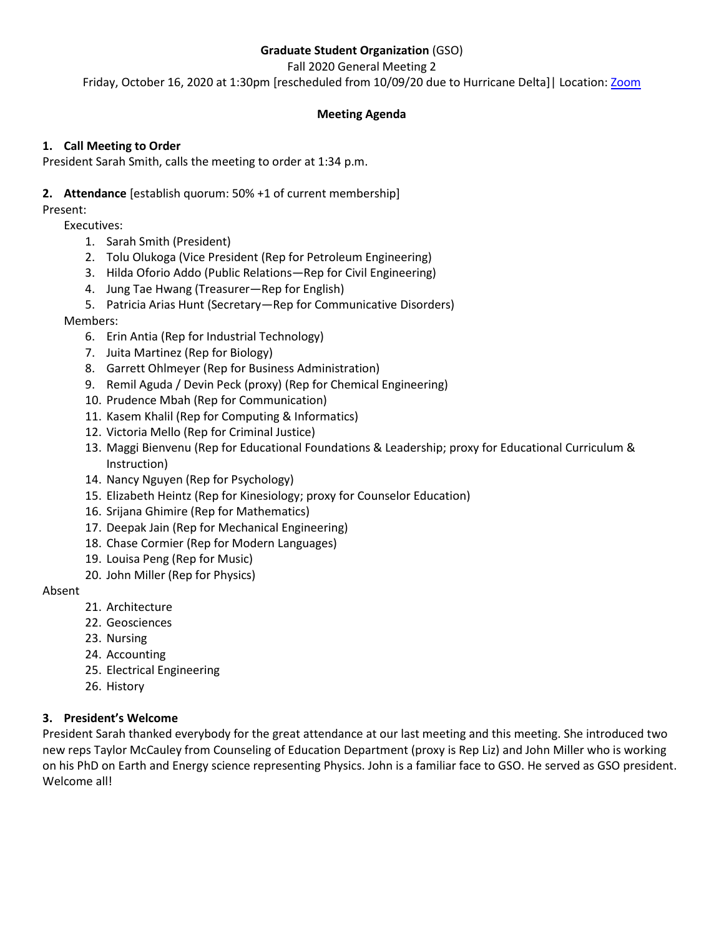# **Graduate Student Organization** (GSO)

Fall 2020 General Meeting 2

Friday, October 16, 2020 at 1:30pm [rescheduled from 10/09/20 due to Hurricane Delta]| Location[: Zoom](https://ullafayette.zoom.us/j/98878773174)

# **Meeting Agenda**

## **1. Call Meeting to Order**

President Sarah Smith, calls the meeting to order at 1:34 p.m.

## **2. Attendance** [establish quorum: 50% +1 of current membership]

Present:

Executives:

- 1. Sarah Smith (President)
- 2. Tolu Olukoga (Vice President (Rep for Petroleum Engineering)
- 3. Hilda Oforio Addo (Public Relations—Rep for Civil Engineering)
- 4. Jung Tae Hwang (Treasurer—Rep for English)
- 5. Patricia Arias Hunt (Secretary—Rep for Communicative Disorders)

## Members:

- 6. Erin Antia (Rep for Industrial Technology)
- 7. Juita Martinez (Rep for Biology)
- 8. Garrett Ohlmeyer (Rep for Business Administration)
- 9. Remil Aguda / Devin Peck (proxy) (Rep for Chemical Engineering)
- 10. Prudence Mbah (Rep for Communication)
- 11. Kasem Khalil (Rep for Computing & Informatics)
- 12. Victoria Mello (Rep for Criminal Justice)
- 13. Maggi Bienvenu (Rep for Educational Foundations & Leadership; proxy for Educational Curriculum & Instruction)
- 14. Nancy Nguyen (Rep for Psychology)
- 15. Elizabeth Heintz (Rep for Kinesiology; proxy for Counselor Education)
- 16. Srijana Ghimire (Rep for Mathematics)
- 17. Deepak Jain (Rep for Mechanical Engineering)
- 18. Chase Cormier (Rep for Modern Languages)
- 19. Louisa Peng (Rep for Music)
- 20. John Miller (Rep for Physics)

## Absent

- 21. Architecture
- 22. Geosciences
- 23. Nursing
- 24. Accounting
- 25. Electrical Engineering
- 26. History

## **3. President's Welcome**

President Sarah thanked everybody for the great attendance at our last meeting and this meeting. She introduced two new reps Taylor McCauley from Counseling of Education Department (proxy is Rep Liz) and John Miller who is working on his PhD on Earth and Energy science representing Physics. John is a familiar face to GSO. He served as GSO president. Welcome all!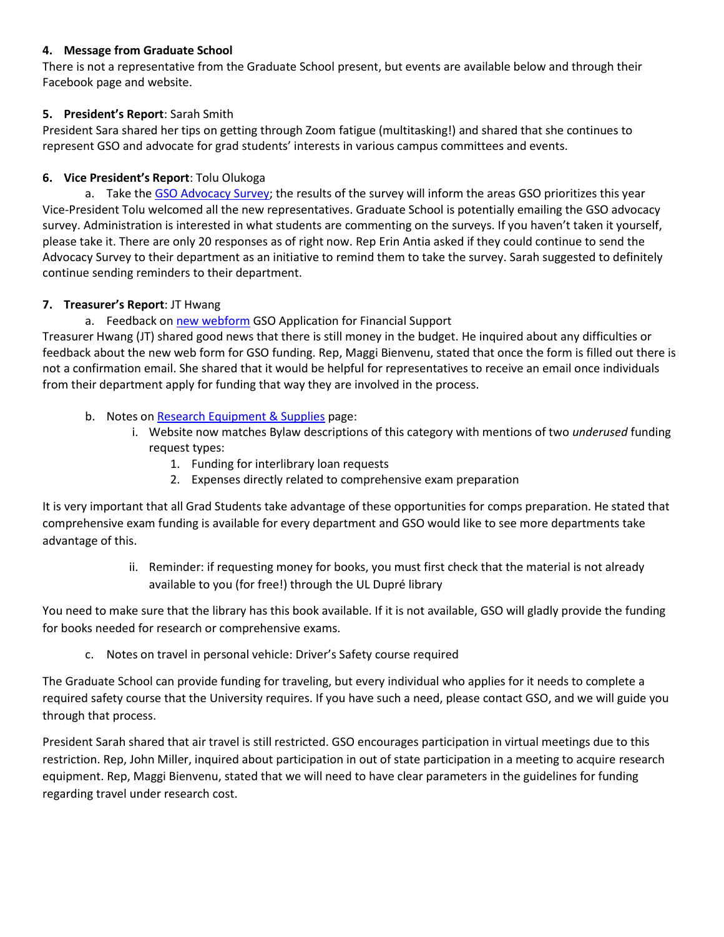### **4. Message from Graduate School**

There is not a representative from the Graduate School present, but events are available below and through their Facebook page and website.

## **5. President's Report**: Sarah Smith

President Sara shared her tips on getting through Zoom fatigue (multitasking!) and shared that she continues to represent GSO and advocate for grad students' interests in various campus committees and events.

### **6. Vice President's Report**: Tolu Olukoga

a. Take the [GSO Advocacy Survey;](https://forms.gle/sc4qsd4Xt3EybXfF6) the results of the survey will inform the areas GSO prioritizes this year Vice-President Tolu welcomed all the new representatives. Graduate School is potentially emailing the GSO advocacy survey. Administration is interested in what students are commenting on the surveys. If you haven't taken it yourself, please take it. There are only 20 responses as of right now. Rep Erin Antia asked if they could continue to send the Advocacy Survey to their department as an initiative to remind them to take the survey. Sarah suggested to definitely continue sending reminders to their department.

#### **7. Treasurer's Report**: JT Hwang

a. Feedback on [new webform](https://gso.louisiana.edu/funding-information/application-financial-support) GSO Application for Financial Support

Treasurer Hwang (JT) shared good news that there is still money in the budget. He inquired about any difficulties or feedback about the new web form for GSO funding. Rep, Maggi Bienvenu, stated that once the form is filled out there is not a confirmation email. She shared that it would be helpful for representatives to receive an email once individuals from their department apply for funding that way they are involved in the process.

- b. Notes on [Research Equipment & Supplies](https://gso.louisiana.edu/node/64) page:
	- i. Website now matches Bylaw descriptions of this category with mentions of two *underused* funding request types:
		- 1. Funding for interlibrary loan requests
		- 2. Expenses directly related to comprehensive exam preparation

It is very important that all Grad Students take advantage of these opportunities for comps preparation. He stated that comprehensive exam funding is available for every department and GSO would like to see more departments take advantage of this.

> ii. Reminder: if requesting money for books, you must first check that the material is not already available to you (for free!) through the UL Dupré library

You need to make sure that the library has this book available. If it is not available, GSO will gladly provide the funding for books needed for research or comprehensive exams.

c. Notes on travel in personal vehicle: Driver's Safety course required

The Graduate School can provide funding for traveling, but every individual who applies for it needs to complete a required safety course that the University requires. If you have such a need, please contact GSO, and we will guide you through that process.

President Sarah shared that air travel is still restricted. GSO encourages participation in virtual meetings due to this restriction. Rep, John Miller, inquired about participation in out of state participation in a meeting to acquire research equipment. Rep, Maggi Bienvenu, stated that we will need to have clear parameters in the guidelines for funding regarding travel under research cost.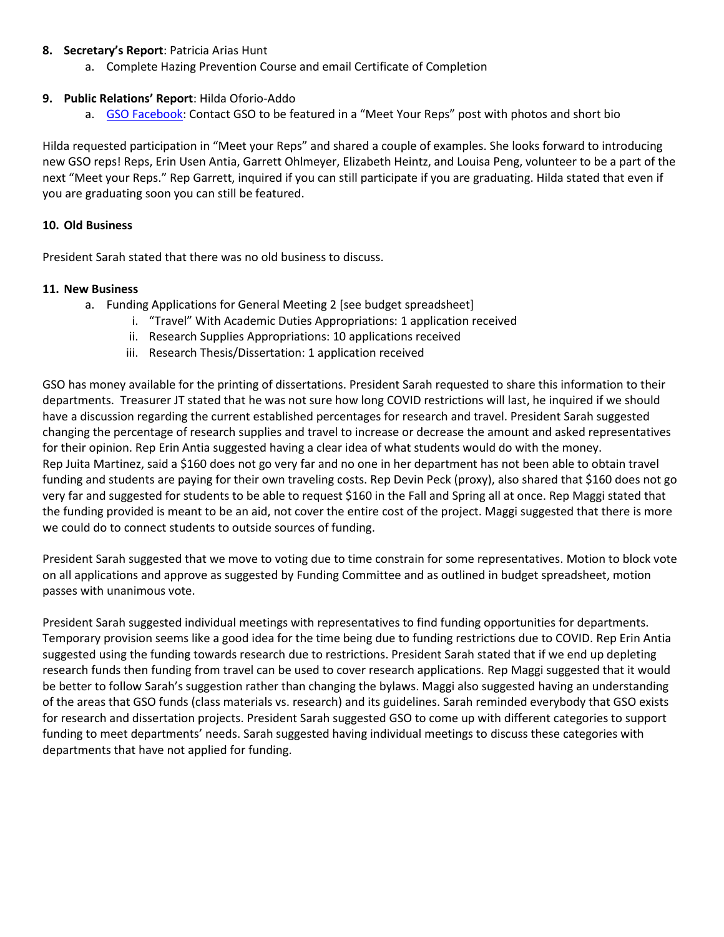#### **8. Secretary's Report**: Patricia Arias Hunt

a. Complete Hazing Prevention Course and email Certificate of Completion

### **9. Public Relations' Report**: Hilda Oforio-Addo

a. [GSO Facebook:](https://www.facebook.com/ULLafayetteGSO/photos/a.637014509703999/4385160128222733) Contact GSO to be featured in a "Meet Your Reps" post with photos and short bio

Hilda requested participation in "Meet your Reps" and shared a couple of examples. She looks forward to introducing new GSO reps! Reps, Erin Usen Antia, Garrett Ohlmeyer, Elizabeth Heintz, and Louisa Peng, volunteer to be a part of the next "Meet your Reps." Rep Garrett, inquired if you can still participate if you are graduating. Hilda stated that even if you are graduating soon you can still be featured.

#### **10. Old Business**

President Sarah stated that there was no old business to discuss.

#### **11. New Business**

- a. Funding Applications for General Meeting 2 [see budget spreadsheet]
	- i. "Travel" With Academic Duties Appropriations: 1 application received
	- ii. Research Supplies Appropriations: 10 applications received
	- iii. Research Thesis/Dissertation: 1 application received

GSO has money available for the printing of dissertations. President Sarah requested to share this information to their departments. Treasurer JT stated that he was not sure how long COVID restrictions will last, he inquired if we should have a discussion regarding the current established percentages for research and travel. President Sarah suggested changing the percentage of research supplies and travel to increase or decrease the amount and asked representatives for their opinion. Rep Erin Antia suggested having a clear idea of what students would do with the money. Rep Juita Martinez, said a \$160 does not go very far and no one in her department has not been able to obtain travel funding and students are paying for their own traveling costs. Rep Devin Peck (proxy), also shared that \$160 does not go very far and suggested for students to be able to request \$160 in the Fall and Spring all at once. Rep Maggi stated that the funding provided is meant to be an aid, not cover the entire cost of the project. Maggi suggested that there is more we could do to connect students to outside sources of funding.

President Sarah suggested that we move to voting due to time constrain for some representatives. Motion to block vote on all applications and approve as suggested by Funding Committee and as outlined in budget spreadsheet, motion passes with unanimous vote.

President Sarah suggested individual meetings with representatives to find funding opportunities for departments. Temporary provision seems like a good idea for the time being due to funding restrictions due to COVID. Rep Erin Antia suggested using the funding towards research due to restrictions. President Sarah stated that if we end up depleting research funds then funding from travel can be used to cover research applications. Rep Maggi suggested that it would be better to follow Sarah's suggestion rather than changing the bylaws. Maggi also suggested having an understanding of the areas that GSO funds (class materials vs. research) and its guidelines. Sarah reminded everybody that GSO exists for research and dissertation projects. President Sarah suggested GSO to come up with different categories to support funding to meet departments' needs. Sarah suggested having individual meetings to discuss these categories with departments that have not applied for funding.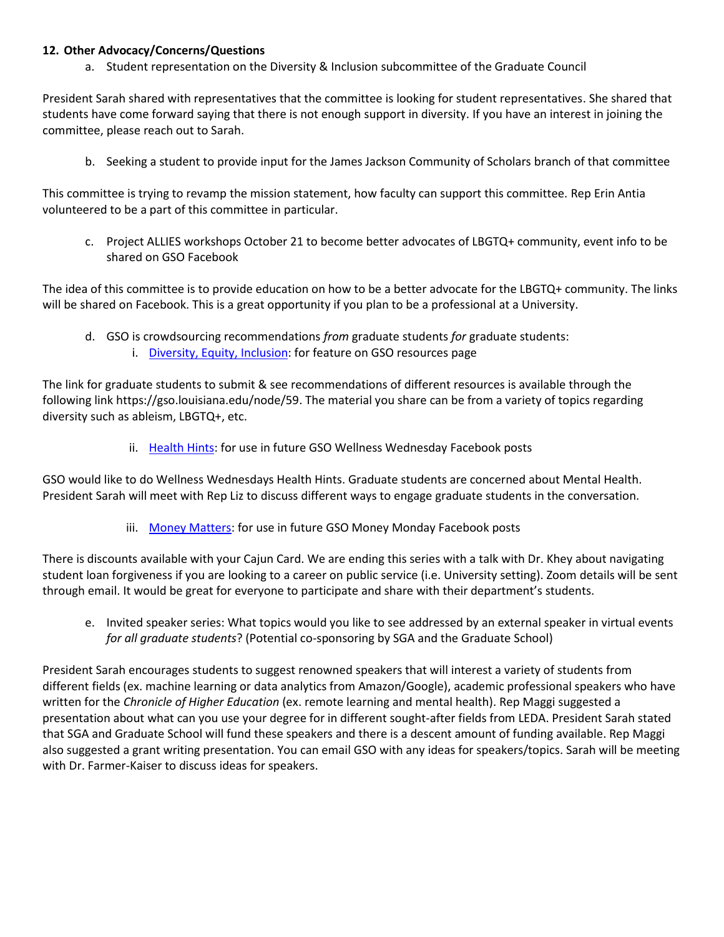### **12. Other Advocacy/Concerns/Questions**

a. Student representation on the Diversity & Inclusion subcommittee of the Graduate Council

President Sarah shared with representatives that the committee is looking for student representatives. She shared that students have come forward saying that there is not enough support in diversity. If you have an interest in joining the committee, please reach out to Sarah.

b. Seeking a student to provide input for the James Jackson Community of Scholars branch of that committee

This committee is trying to revamp the mission statement, how faculty can support this committee. Rep Erin Antia volunteered to be a part of this committee in particular.

c. Project ALLIES workshops October 21 to become better advocates of LBGTQ+ community, event info to be shared on GSO Facebook

The idea of this committee is to provide education on how to be a better advocate for the LBGTQ+ community. The links will be shared on Facebook. This is a great opportunity if you plan to be a professional at a University.

- d. GSO is crowdsourcing recommendations *from* graduate students *for* graduate students:
	- i. [Diversity, Equity, Inclusion:](https://gso.louisiana.edu/node/59) for feature on GSO resources page

The link for graduate students to submit & see recommendations of different resources is available through the following link https://gso.louisiana.edu/node/59. The material you share can be from a variety of topics regarding diversity such as ableism, LBGTQ+, etc.

ii. [Health Hints:](https://gso.louisiana.edu/resources/health-hints) for use in future GSO Wellness Wednesday Facebook posts

GSO would like to do Wellness Wednesdays Health Hints. Graduate students are concerned about Mental Health. President Sarah will meet with Rep Liz to discuss different ways to engage graduate students in the conversation.

iii. [Money Matters:](https://gso.louisiana.edu/resources/money-matters) for use in future GSO Money Monday Facebook posts

There is discounts available with your Cajun Card. We are ending this series with a talk with Dr. Khey about navigating student loan forgiveness if you are looking to a career on public service (i.e. University setting). Zoom details will be sent through email. It would be great for everyone to participate and share with their department's students.

e. Invited speaker series: What topics would you like to see addressed by an external speaker in virtual events *for all graduate students*? (Potential co-sponsoring by SGA and the Graduate School)

President Sarah encourages students to suggest renowned speakers that will interest a variety of students from different fields (ex. machine learning or data analytics from Amazon/Google), academic professional speakers who have written for the *Chronicle of Higher Education* (ex. remote learning and mental health). Rep Maggi suggested a presentation about what can you use your degree for in different sought-after fields from LEDA. President Sarah stated that SGA and Graduate School will fund these speakers and there is a descent amount of funding available. Rep Maggi also suggested a grant writing presentation. You can email GSO with any ideas for speakers/topics. Sarah will be meeting with Dr. Farmer-Kaiser to discuss ideas for speakers.